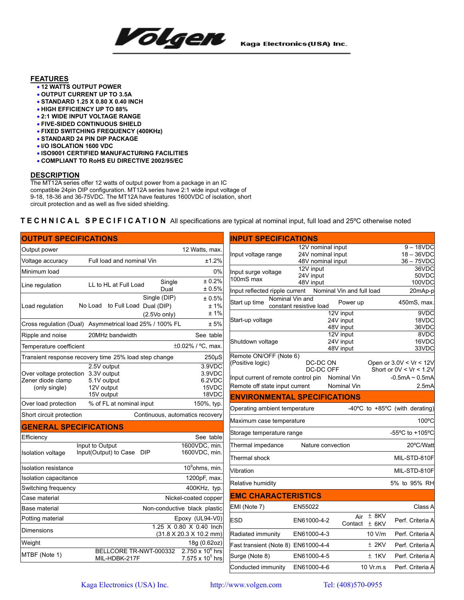

Kaga Electronics(USA) Inc.

## **FEATURES**

- **12 WATTS OUTPUT POWER**
- **OUTPUT CURRENT UP TO 3.5A**
- **STANDARD 1.25 X 0.80 X 0.40 INCH**
- **HIGH EFFICIENCY UP TO 88%**
- **2:1 WIDE INPUT VOLTAGE RANGE**
- **FIVE-SIDED CONTINUOUS SHIELD**
- **FIXED SWITCHING FREQUENCY (400KHz)**
- **STANDARD 24 PIN DIP PACKAGE**
- **I/O ISOLATION 1600 VDC**
- **ISO9001 CERTIFIED MANUFACTURING FACILITIES**
- **COMPLIANT TO RoHS EU DIRECTIVE 2002/95/EC**

## **DESCRIPTION**

The MT12A series offer 12 watts of output power from a package in an IC compatible 24pin DIP configuration. MT12A series have 2:1 wide input voltage of 9-18, 18-36 and 36-75VDC. The MT12A have features 1600VDC of isolation, short circuit protection and as well as five sided shielding.

## **TECHNICAL SPECIFICATION** All specifications are typical at nominal input, full load and 25ºC otherwise noted

| <b>OUTPUT SPECIFICATIONS</b>        |                                                                     |                |                                             | <b>INPUT SPECIFICATIONS</b>                     |                                        |                           |                             |                                                      |
|-------------------------------------|---------------------------------------------------------------------|----------------|---------------------------------------------|-------------------------------------------------|----------------------------------------|---------------------------|-----------------------------|------------------------------------------------------|
| Output power                        |                                                                     |                | 12 Watts, max.                              |                                                 | 12V nominal input                      |                           |                             | $9 - 18VDC$                                          |
| Voltage accuracy                    | Full load and nominal Vin                                           |                | ±1.2%                                       | Input voltage range                             | 24V nominal input<br>48V nominal input |                           | $18 - 36$ VDC<br>36 - 75VDC |                                                      |
| Minimum load                        |                                                                     |                | 0%                                          | Input surge voltage                             | 12V input                              |                           |                             | 36VDC                                                |
|                                     |                                                                     | Single         | ± 0.2%                                      | 100mS max                                       | 24V input<br>48V input                 |                           |                             | 50VDC<br>100VDC                                      |
| Line regulation                     | LL to HL at Full Load                                               | Dual           | ± 0.5%                                      | Input reflected ripple current                  |                                        | Nominal Vin and full load |                             | 20mAp-p                                              |
| Load regulation                     | No Load to Full Load Dual (DIP)                                     | Single (DIP)   | $\pm$ 0.5%<br>±1%                           | Nominal Vin and<br>Start up time                | constant resistive load                | Power up                  |                             | 450mS, max.                                          |
|                                     |                                                                     | $(2.5V0$ only) | ±1%                                         |                                                 |                                        | 12V input                 |                             | 9VDC                                                 |
|                                     | Cross regulation (Dual) Asymmetrical load 25% / 100% FL             |                | ± 5%                                        | Start-up voltage                                |                                        | 24V input<br>48V input    |                             | 18VDC<br>36VDC                                       |
| Ripple and noise                    | 20MHz bandwidth                                                     |                | See table                                   |                                                 |                                        | 12V input                 |                             | 8VDC                                                 |
| Temperature coefficient             |                                                                     |                | ±0.02% / °C, max.                           | Shutdown voltage                                |                                        | 24V input<br>48V input    |                             | 16VDC<br>33VDC                                       |
|                                     | Transient response recovery time 25% load step change               |                | $250\mu S$                                  | Remote ON/OFF (Note 6)                          |                                        |                           |                             |                                                      |
| Over voltage protection 3.3V output | 2.5V output                                                         |                | 3.9VDC<br>3.9VDC                            | (Positive logic)                                | DC-DC ON<br>DC-DC OFF                  |                           |                             | Open or 3.0V < Vr < 12V<br>Short or $0V < Vr < 1.2V$ |
| Zener diode clamp                   | 5.1V output                                                         |                | 6.2VDC                                      | Input current of remote control pin Nominal Vin |                                        |                           |                             | $-0.5$ m $A \sim 0.5$ m $A$<br>2.5mA                 |
| (only single)                       | 12V output<br>15V output                                            |                | 15VDC<br>18VDC                              | Remote off state input current<br>Nominal Vin   |                                        |                           |                             |                                                      |
| Over load protection                | % of FL at nominal input                                            |                | 150%, typ.                                  | <b>ENVIRONMENTAL SPECIFICATIONS</b>             |                                        |                           |                             |                                                      |
| Short circuit protection            |                                                                     |                | Continuous, automatics recovery             | Operating ambient temperature                   |                                        |                           |                             | -40 $\degree$ C to +85 $\degree$ C (with derating)   |
| <b>GENERAL SPECIFICATIONS</b>       |                                                                     |                |                                             | Maximum case temperature                        |                                        |                           |                             | 100°C                                                |
| Efficiencv                          |                                                                     |                | See table                                   | Storage temperature range                       |                                        |                           |                             | -55°C to +105°C                                      |
|                                     | Input to Output                                                     |                | 1600VDC, min.                               | Thermal impedance                               |                                        | Nature convection         |                             | 20°C/Watt                                            |
| Isolation voltage                   | Input(Output) to Case DIP                                           |                | 1600VDC, min.                               | Thermal shock                                   |                                        |                           |                             | MIL-STD-810F                                         |
| Isolation resistance                |                                                                     |                | $109 ohms$ , min.                           | Vibration                                       |                                        |                           |                             | MIL-STD-810F                                         |
| Isolation capacitance               |                                                                     |                | 1200pF, max.                                | Relative humidity                               |                                        |                           |                             | 5% to 95% RH                                         |
| Switching frequency                 |                                                                     |                | 400KHz, typ.                                |                                                 |                                        |                           |                             |                                                      |
| Case material                       |                                                                     |                | Nickel-coated copper                        | <b>EMC CHARACTERISTICS</b>                      |                                        |                           |                             |                                                      |
| Base material                       |                                                                     |                | Non-conductive black plastic                | EMI (Note 7)                                    | EN55022                                |                           |                             | Class A                                              |
| Potting material                    |                                                                     |                | Epoxy (UL94-V0)<br>1.25 X 0.80 X 0.40 Inch  | <b>ESD</b>                                      | EN61000-4-2                            | Contact $\pm$ 6KV         | Air $\pm$ 8KV               | Perf. Criteria A                                     |
| <b>Dimensions</b>                   |                                                                     |                | $(31.8 \times 20.3 \times 10.2 \text{ mm})$ | Radiated immunity                               | EN61000-4-3                            |                           | 10 V/m                      | Perf. Criteria A                                     |
| Weight                              |                                                                     |                | 18g (0.62oz)                                | Fast transient (Note 8) EN61000-4-4             |                                        |                           | $±$ 2KV                     | Perf. Criteria A                                     |
| MTBF (Note 1)                       | BELLCORE TR-NWT-000332 2.750 x 10 <sup>6</sup> hrs<br>MIL-HDBK-217F |                | 7.575 x $10^5$ hrs                          | Surge (Note 8)                                  | EN61000-4-5                            |                           | $±$ 1KV                     | Perf. Criteria A                                     |
|                                     |                                                                     |                |                                             | Conducted immunity                              | EN61000-4-6                            |                           | 10 Vr.m.s                   | Perf. Criteria A                                     |

Kaga Electronics (USA) Inc. http://www.volgen.com Tel: (408)570-0955